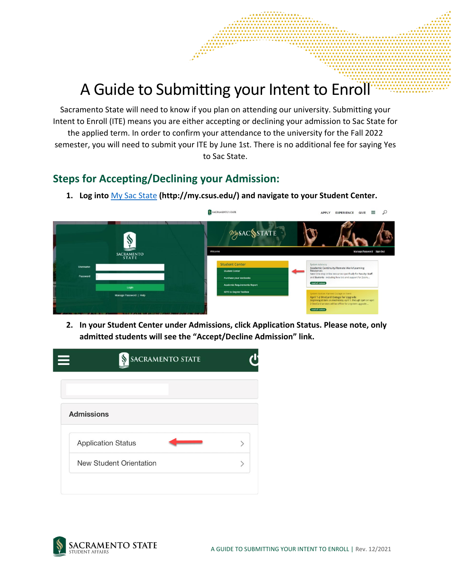## A Guide to Submitting your Intent to Enroll

Sacramento State will need to know if you plan on attending our university. Submitting your Intent to Enroll (ITE) means you are either accepting or declining your admission to Sac State for the applied term. In order to confirm your attendance to the university for the Fall 2022 semester, you will need to submit your ITE by June 1st. There is no additional fee for saying Yes to Sac State.

## **Steps for Accepting/Declining your Admission:**

**1. Log into** [My Sac State](http://my.csus.edu/) **(http://my.csus.edu/) and navigate to your Student Center.** 



**2. In your Student Center under Admissions, click Application Status. Please note, only admitted students will see the "Accept/Decline Admission" link.**



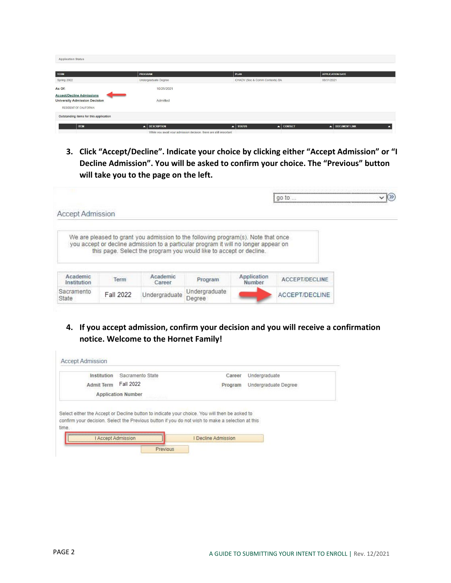| <b>Application Status</b>                                                |                                                                    |                                                |                         |
|--------------------------------------------------------------------------|--------------------------------------------------------------------|------------------------------------------------|-------------------------|
| <b>STATISTICS</b><br><b>TERM</b>                                         | PROGRAM                                                            | <b>PLAN</b>                                    | <b>APPLICATION DATE</b> |
| Spring 2022                                                              | Undergraduate Degree                                               | CHADV (Soc & Comm Contexts) BA                 | 08/31/2021              |
| As Of:                                                                   | 10/25/2021                                                         |                                                |                         |
| <b>Accept/Decline Admissions</b><br><b>University Admission Decision</b> | Admitted                                                           |                                                |                         |
| RESIDENT OF CALIFORNIA                                                   |                                                                    |                                                |                         |
| Outstanding items for this application                                   |                                                                    |                                                |                         |
| <b>ITEM</b>                                                              | <b>DESCRIPTION</b><br>$\blacktriangle$                             | $\triangle$ CONTACT<br>$\blacktriangle$ STATUS | DOCUMENT LINK           |
|                                                                          | While you await your admission decision, there are still important |                                                |                         |

**3. Click "Accept/Decline". Indicate your choice by clicking either "Accept Admission" or "I Decline Admission". You will be asked to confirm your choice. The "Previous" button will take you to the page on the left.** 

|                         |           |                    |                                                                                                                                                                                                                                                |                       | go to                 |  |
|-------------------------|-----------|--------------------|------------------------------------------------------------------------------------------------------------------------------------------------------------------------------------------------------------------------------------------------|-----------------------|-----------------------|--|
| Accept Admission        |           |                    |                                                                                                                                                                                                                                                |                       |                       |  |
|                         |           |                    | We are pleased to grant you admission to the following program(s). Note that once<br>you accept or decline admission to a particular program it will no longer appear on<br>this page. Select the program you would like to accept or decline. |                       |                       |  |
| Academic<br>Institution | Term      | Academic<br>Career | Program                                                                                                                                                                                                                                        | Application<br>Number | <b>ACCEPT/DECLINE</b> |  |
| Sacramento              | Fall 2022 | Undergraduate      | Undergraduate<br>Degree                                                                                                                                                                                                                        |                       | ACCEPT/DECLINE        |  |

**4. If you accept admission, confirm your decision and you will receive a confirmation notice. Welcome to the Hornet Family!** 

| Institution       | Sacramento State          | Career                                                                                                                                                                                            | Undergraduate        |
|-------------------|---------------------------|---------------------------------------------------------------------------------------------------------------------------------------------------------------------------------------------------|----------------------|
| <b>Admit Term</b> | Fall 2022                 | Program                                                                                                                                                                                           | Undergraduate Degree |
|                   | <b>Application Number</b> |                                                                                                                                                                                                   |                      |
|                   |                           | Select either the Accept or Decline button to indicate your choice. You will then be asked to<br>confirm your decision. Select the Previous button if you do not wish to make a selection at this |                      |